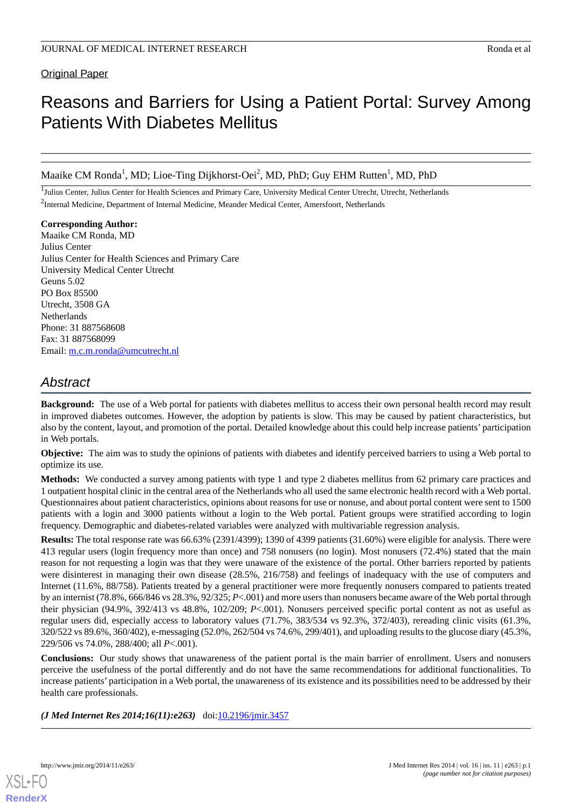# Original Paper

# Reasons and Barriers for Using a Patient Portal: Survey Among Patients With Diabetes Mellitus

Maaike CM Ronda<sup>1</sup>, MD; Lioe-Ting Dijkhorst-Oei<sup>2</sup>, MD, PhD; Guy EHM Rutten<sup>1</sup>, MD, PhD

<sup>1</sup>Julius Center, Julius Center for Health Sciences and Primary Care, University Medical Center Utrecht, Utrecht, Netherlands <sup>2</sup>Internal Medicine, Department of Internal Medicine, Meander Medical Center, Amersfoort, Netherlands

**Corresponding Author:** Maaike CM Ronda, MD Julius Center Julius Center for Health Sciences and Primary Care University Medical Center Utrecht Geuns 5.02 PO Box 85500 Utrecht, 3508 GA **Netherlands** Phone: 31 887568608 Fax: 31 887568099 Email: [m.c.m.ronda@umcutrecht.nl](mailto:m.c.m.ronda@umcutrecht.nl)

# *Abstract*

**Background:** The use of a Web portal for patients with diabetes mellitus to access their own personal health record may result in improved diabetes outcomes. However, the adoption by patients is slow. This may be caused by patient characteristics, but also by the content, layout, and promotion of the portal. Detailed knowledge about this could help increase patients' participation in Web portals.

**Objective:** The aim was to study the opinions of patients with diabetes and identify perceived barriers to using a Web portal to optimize its use.

**Methods:** We conducted a survey among patients with type 1 and type 2 diabetes mellitus from 62 primary care practices and 1 outpatient hospital clinic in the central area of the Netherlands who all used the same electronic health record with a Web portal. Questionnaires about patient characteristics, opinions about reasons for use or nonuse, and about portal content were sent to 1500 patients with a login and 3000 patients without a login to the Web portal. Patient groups were stratified according to login frequency. Demographic and diabetes-related variables were analyzed with multivariable regression analysis.

**Results:** The total response rate was 66.63% (2391/4399); 1390 of 4399 patients (31.60%) were eligible for analysis. There were 413 regular users (login frequency more than once) and 758 nonusers (no login). Most nonusers (72.4%) stated that the main reason for not requesting a login was that they were unaware of the existence of the portal. Other barriers reported by patients were disinterest in managing their own disease (28.5%, 216/758) and feelings of inadequacy with the use of computers and Internet (11.6%, 88/758). Patients treated by a general practitioner were more frequently nonusers compared to patients treated by an internist (78.8%, 666/846 vs 28.3%, 92/325; *P*<.001) and more users than nonusers became aware of the Web portal through their physician (94.9%, 392/413 vs 48.8%, 102/209; *P*<.001). Nonusers perceived specific portal content as not as useful as regular users did, especially access to laboratory values (71.7%, 383/534 vs 92.3%, 372/403), rereading clinic visits (61.3%, 320/522 vs 89.6%, 360/402), e-messaging (52.0%, 262/504 vs 74.6%, 299/401), and uploading results to the glucose diary (45.3%, 229/506 vs 74.0%, 288/400; all *P*<.001).

**Conclusions:** Our study shows that unawareness of the patient portal is the main barrier of enrollment. Users and nonusers perceive the usefulness of the portal differently and do not have the same recommendations for additional functionalities. To increase patients' participation in a Web portal, the unawareness of its existence and its possibilities need to be addressed by their health care professionals.

*(J Med Internet Res 2014;16(11):e263)* doi: $10.2196/$ jmir.3457

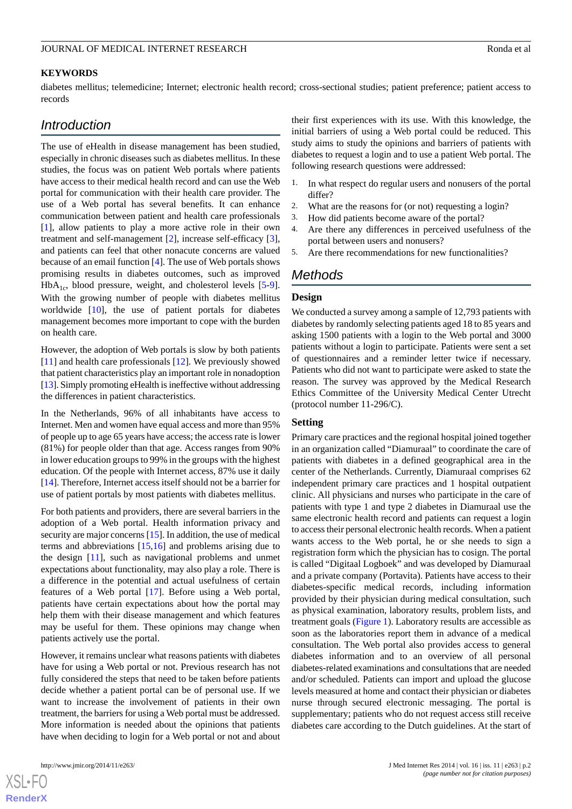#### **KEYWORDS**

diabetes mellitus; telemedicine; Internet; electronic health record; cross-sectional studies; patient preference; patient access to records

# *Introduction*

The use of eHealth in disease management has been studied, especially in chronic diseases such as diabetes mellitus. In these studies, the focus was on patient Web portals where patients have access to their medical health record and can use the Web portal for communication with their health care provider. The use of a Web portal has several benefits. It can enhance communication between patient and health care professionals [[1\]](#page-9-0), allow patients to play a more active role in their own treatment and self-management [[2\]](#page-9-1), increase self-efficacy [[3\]](#page-9-2), and patients can feel that other nonacute concerns are valued because of an email function [\[4](#page-9-3)]. The use of Web portals shows promising results in diabetes outcomes, such as improved  $HbA_{1c}$ , blood pressure, weight, and cholesterol levels [\[5-](#page-9-4)[9\]](#page-9-5). With the growing number of people with diabetes mellitus worldwide [\[10](#page-9-6)], the use of patient portals for diabetes management becomes more important to cope with the burden on health care.

However, the adoption of Web portals is slow by both patients [[11\]](#page-9-7) and health care professionals [\[12](#page-9-8)]. We previously showed that patient characteristics play an important role in nonadoption [[13\]](#page-9-9). Simply promoting eHealth is ineffective without addressing the differences in patient characteristics.

In the Netherlands, 96% of all inhabitants have access to Internet. Men and women have equal access and more than 95% of people up to age 65 years have access; the access rate is lower (81%) for people older than that age. Access ranges from 90% in lower education groups to 99% in the groups with the highest education. Of the people with Internet access, 87% use it daily [[14\]](#page-9-10). Therefore, Internet access itself should not be a barrier for use of patient portals by most patients with diabetes mellitus.

For both patients and providers, there are several barriers in the adoption of a Web portal. Health information privacy and security are major concerns [[15\]](#page-9-11). In addition, the use of medical terms and abbreviations [[15](#page-9-11)[,16](#page-9-12)] and problems arising due to the design [[11\]](#page-9-7), such as navigational problems and unmet expectations about functionality, may also play a role. There is a difference in the potential and actual usefulness of certain features of a Web portal [\[17](#page-9-13)]. Before using a Web portal, patients have certain expectations about how the portal may help them with their disease management and which features may be useful for them. These opinions may change when patients actively use the portal.

However, it remains unclear what reasons patients with diabetes have for using a Web portal or not. Previous research has not fully considered the steps that need to be taken before patients decide whether a patient portal can be of personal use. If we want to increase the involvement of patients in their own treatment, the barriers for using a Web portal must be addressed. More information is needed about the opinions that patients have when deciding to login for a Web portal or not and about

[XSL](http://www.w3.org/Style/XSL)•FO **[RenderX](http://www.renderx.com/)**

their first experiences with its use. With this knowledge, the initial barriers of using a Web portal could be reduced. This study aims to study the opinions and barriers of patients with diabetes to request a login and to use a patient Web portal. The following research questions were addressed:

- In what respect do regular users and nonusers of the portal differ?
- 2. What are the reasons for (or not) requesting a login?
- 3. How did patients become aware of the portal?
- 4. Are there any differences in perceived usefulness of the portal between users and nonusers?
- 5. Are there recommendations for new functionalities?

# *Methods*

#### **Design**

We conducted a survey among a sample of 12,793 patients with diabetes by randomly selecting patients aged 18 to 85 years and asking 1500 patients with a login to the Web portal and 3000 patients without a login to participate. Patients were sent a set of questionnaires and a reminder letter twice if necessary. Patients who did not want to participate were asked to state the reason. The survey was approved by the Medical Research Ethics Committee of the University Medical Center Utrecht (protocol number 11-296/C).

#### **Setting**

Primary care practices and the regional hospital joined together in an organization called "Diamuraal" to coordinate the care of patients with diabetes in a defined geographical area in the center of the Netherlands. Currently, Diamuraal comprises 62 independent primary care practices and 1 hospital outpatient clinic. All physicians and nurses who participate in the care of patients with type 1 and type 2 diabetes in Diamuraal use the same electronic health record and patients can request a login to access their personal electronic health records. When a patient wants access to the Web portal, he or she needs to sign a registration form which the physician has to cosign. The portal is called "Digitaal Logboek" and was developed by Diamuraal and a private company (Portavita). Patients have access to their diabetes-specific medical records, including information provided by their physician during medical consultation, such as physical examination, laboratory results, problem lists, and treatment goals (Figure 1). Laboratory results are accessible as soon as the laboratories report them in advance of a medical consultation. The Web portal also provides access to general diabetes information and to an overview of all personal diabetes-related examinations and consultations that are needed and/or scheduled. Patients can import and upload the glucose levels measured at home and contact their physician or diabetes nurse through secured electronic messaging. The portal is supplementary; patients who do not request access still receive diabetes care according to the Dutch guidelines. At the start of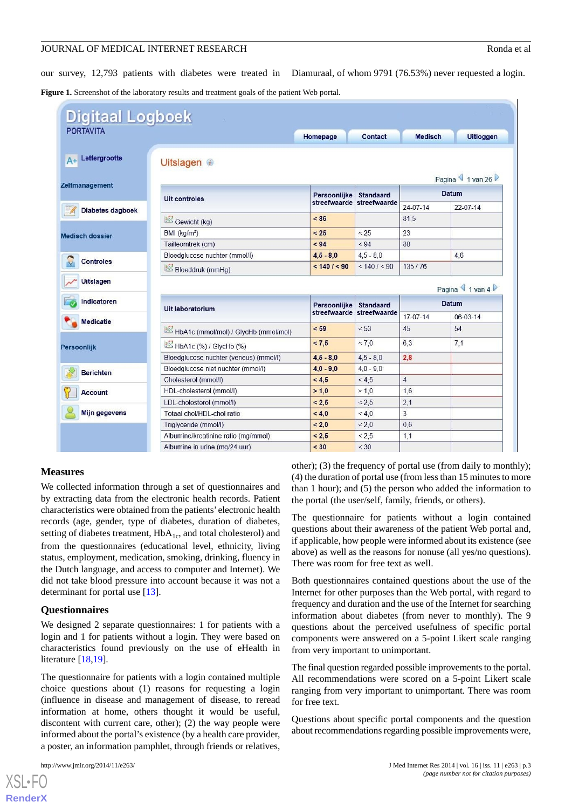our survey, 12,793 patients with diabetes were treated in Diamuraal, of whom 9791 (76.53%) never requested a login.

Figure 1. Screenshot of the laboratory results and treatment goals of the patient Web portal.

| <b>Digitaal Logboek</b><br><b>PORTAVITA</b> |                                        |                              |                                  |                |                  |
|---------------------------------------------|----------------------------------------|------------------------------|----------------------------------|----------------|------------------|
|                                             |                                        | Homepage                     | <b>Contact</b>                   | <b>Medisch</b> | <b>Uitloggen</b> |
| Lettergrootte                               | Uitslagen <sup>1</sup>                 |                              |                                  |                | Pagina 1 van 26  |
| Zelfmanagement<br>Diabetes dagboek          | <b>Uit controles</b>                   | Persoonlijke<br>streefwaarde | <b>Standaard</b><br>streefwaarde | <b>Datum</b>   |                  |
|                                             |                                        |                              |                                  | $24-07-14$     | $22-07-14$       |
|                                             | Gewicht (kg)                           | < 86                         |                                  | 81,5           |                  |
|                                             | BMI (kg/m <sup>2</sup> )               | < 25                         | < 25                             | 23             |                  |
| <b>Medisch dossier</b>                      | Tailleomtrek (cm)                      | < 94                         | < 94                             | 88             |                  |
| <b>Controles</b>                            | Bloedglucose nuchter (mmol/l)          | $4,5 - 8,0$                  | $4,5 - 8,0$                      |                | 4,6              |
|                                             | Bloeddruk (mmHg)                       | < 140 / < 90                 | < 140 / < 90                     | 135/76         |                  |
| <b>Uitslagen</b>                            |                                        |                              |                                  |                | Pagina 1 van 4   |
| Indicatoren                                 |                                        | Persoonlijke                 | <b>Standaard</b>                 | <b>Datum</b>   |                  |
| <b>Medicatie</b>                            | Uit laboratorium                       | streefwaarde                 | streefwaarde                     | $17-07-14$     | 06-03-14         |
|                                             | HbA1c (mmol/mol) / GlycHb (mmol/mol)   | < 59                         | < 53                             | 45             | 54               |
| <b>Persoonlijk</b>                          | HbA1c (%) / GlycHb (%)                 | < 7, 5                       | < 7.0                            | 6,3            | 7,1              |
|                                             | Bloedglucose nuchter (veneus) (mmol/l) | $4,5 - 8,0$                  | $4,5 - 8,0$                      | 2,8            |                  |
| <b>Berichten</b>                            | Bloedglucose niet nuchter (mmol/l)     | $4,0 - 9,0$                  | $4.0 - 9.0$                      |                |                  |
|                                             | Cholesterol (mmol/l)                   | < 4, 5                       | < 4.5                            | $\overline{4}$ |                  |
| <b>Account</b>                              | HDL-cholesterol (mmol/l)               | > 1,0                        | > 1.0                            | 1,6            |                  |
|                                             | LDL-cholesterol (mmol/l)               | < 2, 5                       | < 2.5                            | 2,1            |                  |
| <b>Mijn gegevens</b>                        | Totaal chol/HDL-chol ratio             | < 4,0                        | < 4.0                            | 3              |                  |
|                                             | Triglyceride (mmol/l)                  | < 2.0                        | < 2.0                            | 0,6            |                  |
|                                             | Albumine/kreatinine ratio (mg/mmol)    | < 2.5                        | < 2.5                            | 1,1            |                  |
|                                             | Albumine in urine (mg/24 uur)          | < 30                         | < 30                             |                |                  |

#### **Measures**

We collected information through a set of questionnaires and by extracting data from the electronic health records. Patient characteristics were obtained from the patients' electronic health records (age, gender, type of diabetes, duration of diabetes, setting of diabetes treatment,  $HbA_{1c}$ , and total cholesterol) and from the questionnaires (educational level, ethnicity, living status, employment, medication, smoking, drinking, fluency in the Dutch language, and access to computer and Internet). We did not take blood pressure into account because it was not a determinant for portal use [[13\]](#page-9-9).

#### **Questionnaires**

We designed 2 separate questionnaires: 1 for patients with a login and 1 for patients without a login. They were based on characteristics found previously on the use of eHealth in literature [\[18](#page-9-14),[19\]](#page-9-15).

The questionnaire for patients with a login contained multiple choice questions about (1) reasons for requesting a login (influence in disease and management of disease, to reread information at home, others thought it would be useful, discontent with current care, other); (2) the way people were informed about the portal's existence (by a health care provider, a poster, an information pamphlet, through friends or relatives,

[XSL](http://www.w3.org/Style/XSL)•FO **[RenderX](http://www.renderx.com/)**

other); (3) the frequency of portal use (from daily to monthly); (4) the duration of portal use (from less than 15 minutes to more than 1 hour); and (5) the person who added the information to the portal (the user/self, family, friends, or others).

The questionnaire for patients without a login contained questions about their awareness of the patient Web portal and, if applicable, how people were informed about its existence (see above) as well as the reasons for nonuse (all yes/no questions). There was room for free text as well.

Both questionnaires contained questions about the use of the Internet for other purposes than the Web portal, with regard to frequency and duration and the use of the Internet for searching information about diabetes (from never to monthly). The 9 questions about the perceived usefulness of specific portal components were answered on a 5-point Likert scale ranging from very important to unimportant.

The final question regarded possible improvements to the portal. All recommendations were scored on a 5-point Likert scale ranging from very important to unimportant. There was room for free text.

Questions about specific portal components and the question about recommendations regarding possible improvements were,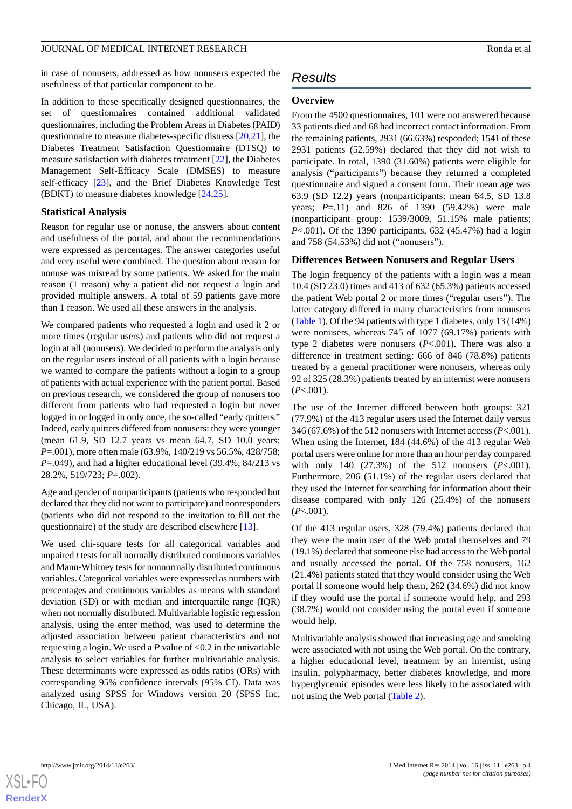in case of nonusers, addressed as how nonusers expected the usefulness of that particular component to be.

In addition to these specifically designed questionnaires, the set of questionnaires contained additional validated questionnaires, including the Problem Areas in Diabetes (PAID) questionnaire to measure diabetes-specific distress [[20](#page-9-16)[,21](#page-9-17)], the Diabetes Treatment Satisfaction Questionnaire (DTSQ) to measure satisfaction with diabetes treatment [\[22](#page-10-0)], the Diabetes Management Self-Efficacy Scale (DMSES) to measure self-efficacy [\[23](#page-10-1)], and the Brief Diabetes Knowledge Test (BDKT) to measure diabetes knowledge [[24,](#page-10-2)[25](#page-10-3)].

#### **Statistical Analysis**

Reason for regular use or nonuse, the answers about content and usefulness of the portal, and about the recommendations were expressed as percentages. The answer categories useful and very useful were combined. The question about reason for nonuse was misread by some patients. We asked for the main reason (1 reason) why a patient did not request a login and provided multiple answers. A total of 59 patients gave more than 1 reason. We used all these answers in the analysis.

We compared patients who requested a login and used it 2 or more times (regular users) and patients who did not request a login at all (nonusers). We decided to perform the analysis only on the regular users instead of all patients with a login because we wanted to compare the patients without a login to a group of patients with actual experience with the patient portal. Based on previous research, we considered the group of nonusers too different from patients who had requested a login but never logged in or logged in only once, the so-called "early quitters." Indeed, early quitters differed from nonusers: they were younger (mean 61.9, SD 12.7 years vs mean 64.7, SD 10.0 years; *P*=.001), more often male (63.9%, 140/219 vs 56.5%, 428/758; *P*=.049), and had a higher educational level (39.4%, 84/213 vs 28.2%, 519/723; *P*=.002).

Age and gender of nonparticipants (patients who responded but declared that they did not want to participate) and nonresponders (patients who did not respond to the invitation to fill out the questionnaire) of the study are described elsewhere [\[13](#page-9-9)].

We used chi-square tests for all categorical variables and unpaired *t*tests for all normally distributed continuous variables and Mann-Whitney tests for nonnormally distributed continuous variables. Categorical variables were expressed as numbers with percentages and continuous variables as means with standard deviation (SD) or with median and interquartile range (IQR) when not normally distributed. Multivariable logistic regression analysis, using the enter method, was used to determine the adjusted association between patient characteristics and not requesting a login. We used a *P* value of <0.2 in the univariable analysis to select variables for further multivariable analysis. These determinants were expressed as odds ratios (ORs) with corresponding 95% confidence intervals (95% CI). Data was analyzed using SPSS for Windows version 20 (SPSS Inc, Chicago, IL, USA).

# *Results*

#### **Overview**

From the 4500 questionnaires, 101 were not answered because 33 patients died and 68 had incorrect contact information. From the remaining patients, 2931 (66.63%) responded; 1541 of these 2931 patients (52.59%) declared that they did not wish to participate. In total, 1390 (31.60%) patients were eligible for analysis ("participants") because they returned a completed questionnaire and signed a consent form. Their mean age was 63.9 (SD 12.2) years (nonparticipants: mean 64.5, SD 13.8 years; *P*=.11) and 826 of 1390 (59.42%) were male (nonparticipant group: 1539/3009, 51.15% male patients; *P*<.001). Of the 1390 participants, 632 (45.47%) had a login and 758 (54.53%) did not ("nonusers").

#### **Differences Between Nonusers and Regular Users**

The login frequency of the patients with a login was a mean 10.4 (SD 23.0) times and 413 of 632 (65.3%) patients accessed the patient Web portal 2 or more times ("regular users"). The latter category differed in many characteristics from nonusers (Table 1). Of the 94 patients with type 1 diabetes, only 13 (14%) were nonusers, whereas 745 of 1077 (69.17%) patients with type 2 diabetes were nonusers (*P*<.001). There was also a difference in treatment setting: 666 of 846 (78.8%) patients treated by a general practitioner were nonusers, whereas only 92 of 325 (28.3%) patients treated by an internist were nonusers (*P*<.001).

The use of the Internet differed between both groups: 321 (77.9%) of the 413 regular users used the Internet daily versus 346 (67.6%) of the 512 nonusers with Internet access (*P*<.001). When using the Internet, 184 (44.6%) of the 413 regular Web portal users were online for more than an hour per day compared with only 140 (27.3%) of the 512 nonusers (*P*<.001). Furthermore, 206 (51.1%) of the regular users declared that they used the Internet for searching for information about their disease compared with only 126 (25.4%) of the nonusers (*P*<.001).

Of the 413 regular users, 328 (79.4%) patients declared that they were the main user of the Web portal themselves and 79 (19.1%) declared that someone else had access to the Web portal and usually accessed the portal. Of the 758 nonusers, 162 (21.4%) patients stated that they would consider using the Web portal if someone would help them, 262 (34.6%) did not know if they would use the portal if someone would help, and 293 (38.7%) would not consider using the portal even if someone would help.

Multivariable analysis showed that increasing age and smoking were associated with not using the Web portal. On the contrary, a higher educational level, treatment by an internist, using insulin, polypharmacy, better diabetes knowledge, and more hyperglycemic episodes were less likely to be associated with not using the Web portal (Table 2).



 $XS$  $\cdot$ FC **[RenderX](http://www.renderx.com/)**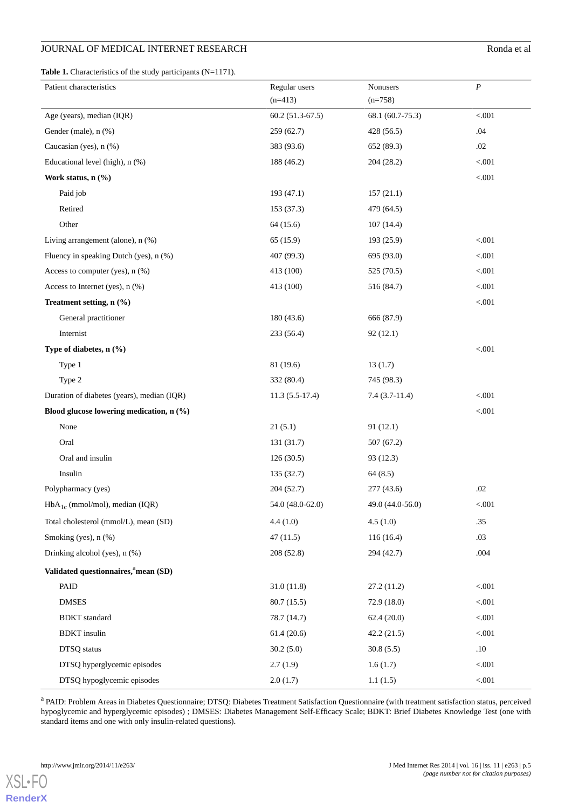# JOURNAL OF MEDICAL INTERNET RESEARCH RONDA ENDING A LOCAL INTERNET RESEARCH

**Table 1.** Characteristics of the study participants (N=1171).

| Patient characteristics                    | Regular users<br>$(n=413)$ | Nonusers<br>$(n=758)$ | $\boldsymbol{P}$ |
|--------------------------------------------|----------------------------|-----------------------|------------------|
| Age (years), median (IQR)                  | $60.2(51.3-67.5)$          | 68.1 (60.7-75.3)      | < .001           |
| Gender (male), n (%)                       | 259(62.7)                  | 428 (56.5)            | .04              |
| Caucasian (yes), n (%)                     | 383 (93.6)                 | 652 (89.3)            | .02              |
| Educational level (high), n (%)            | 188 (46.2)                 | 204 (28.2)            | $< 001$          |
| Work status, n (%)                         |                            |                       | $< 001$          |
| Paid job                                   | 193 (47.1)                 | 157(21.1)             |                  |
| Retired                                    | 153(37.3)                  | 479 (64.5)            |                  |
| Other                                      | 64(15.6)                   | 107(14.4)             |                  |
| Living arrangement (alone), $n$ $%$ )      | 65(15.9)                   | 193 (25.9)            | $< 001$          |
| Fluency in speaking Dutch (yes), n (%)     | 407 (99.3)                 | 695 (93.0)            | $< 001$          |
| Access to computer (yes), n (%)            | 413 (100)                  | 525 (70.5)            | $< 001$          |
| Access to Internet (yes), $n$ (%)          | 413 (100)                  | 516 (84.7)            | $< 001$          |
| Treatment setting, n (%)                   |                            |                       | $< 001$          |
| General practitioner                       | 180(43.6)                  | 666 (87.9)            |                  |
| Internist                                  | 233(56.4)                  | 92(12.1)              |                  |
| Type of diabetes, $n$ (%)                  |                            |                       | < .001           |
| Type 1                                     | 81 (19.6)                  | 13(1.7)               |                  |
| Type 2                                     | 332 (80.4)                 | 745 (98.3)            |                  |
| Duration of diabetes (years), median (IQR) | $11.3(5.5-17.4)$           | $7.4(3.7-11.4)$       | < .001           |
| Blood glucose lowering medication, n (%)   |                            |                       | $< 001$          |
| None                                       | 21(5.1)                    | 91(12.1)              |                  |
| Oral                                       | 131 (31.7)                 | 507(67.2)             |                  |
| Oral and insulin                           | 126(30.5)                  | 93 (12.3)             |                  |
| Insulin                                    | 135 (32.7)                 | 64(8.5)               |                  |
| Polypharmacy (yes)                         | 204(52.7)                  | 277 (43.6)            | .02              |
| $HbA_{1c}$ (mmol/mol), median (IQR)        | 54.0 (48.0-62.0)           | 49.0 (44.0-56.0)      | < .001           |
| Total cholesterol (mmol/L), mean (SD)      | 4.4(1.0)                   | 4.5(1.0)              | .35              |
| Smoking (yes), $n$ (%)                     | 47(11.5)                   | 116(16.4)             | .03              |
| Drinking alcohol (yes), n (%)              | 208(52.8)                  | 294 (42.7)            | .004             |
| Validated questionnaires, amean (SD)       |                            |                       |                  |
| PAID                                       | 31.0(11.8)                 | 27.2(11.2)            | < 0.001          |
| <b>DMSES</b>                               | 80.7(15.5)                 | 72.9(18.0)            | < 0.001          |
| <b>BDKT</b> standard                       | 78.7 (14.7)                | 62.4(20.0)            | < 0.001          |
| <b>BDKT</b> insulin                        | 61.4(20.6)                 | 42.2(21.5)            | < 0.001          |
| DTSQ status                                | 30.2(5.0)                  | 30.8(5.5)             | $.10\,$          |
| DTSQ hyperglycemic episodes                | 2.7(1.9)                   | 1.6(1.7)              | $< 001$          |
| DTSQ hypoglycemic episodes                 | 2.0(1.7)                   | 1.1(1.5)              | $< 001$          |

<sup>a</sup> PAID: Problem Areas in Diabetes Questionnaire; DTSQ: Diabetes Treatment Satisfaction Questionnaire (with treatment satisfaction status, perceived hypoglycemic and hyperglycemic episodes) ; DMSES: Diabetes Management Self-Efficacy Scale; BDKT: Brief Diabetes Knowledge Test (one with standard items and one with only insulin-related questions).

[XSL](http://www.w3.org/Style/XSL)•FO **[RenderX](http://www.renderx.com/)**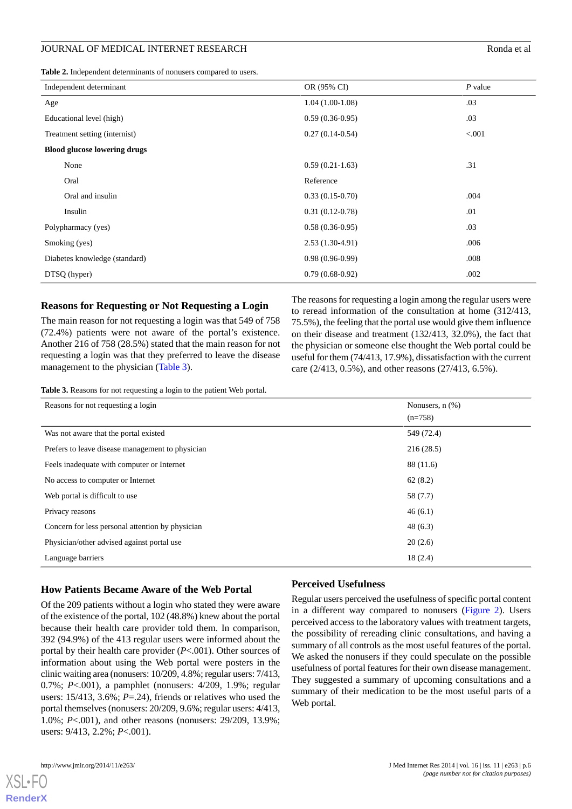**Table 2.** Independent determinants of nonusers compared to users.

| Independent determinant             | OR (95% CI)       | $P$ value |
|-------------------------------------|-------------------|-----------|
| Age                                 | $1.04(1.00-1.08)$ | .03       |
| Educational level (high)            | $0.59(0.36-0.95)$ | .03       |
| Treatment setting (internist)       | $0.27(0.14-0.54)$ | < 0.01    |
| <b>Blood glucose lowering drugs</b> |                   |           |
| None                                | $0.59(0.21-1.63)$ | .31       |
| Oral                                | Reference         |           |
| Oral and insulin                    | $0.33(0.15-0.70)$ | .004      |
| Insulin                             | $0.31(0.12-0.78)$ | .01       |
| Polypharmacy (yes)                  | $0.58(0.36-0.95)$ | .03       |
| Smoking (yes)                       | $2.53(1.30-4.91)$ | .006      |
| Diabetes knowledge (standard)       | $0.98(0.96-0.99)$ | .008      |
| DTSQ (hyper)                        | $0.79(0.68-0.92)$ | .002      |

#### **Reasons for Requesting or Not Requesting a Login**

The main reason for not requesting a login was that 549 of 758 (72.4%) patients were not aware of the portal's existence. Another 216 of 758 (28.5%) stated that the main reason for not requesting a login was that they preferred to leave the disease management to the physician (Table 3).

The reasons for requesting a login among the regular users were to reread information of the consultation at home (312/413, 75.5%), the feeling that the portal use would give them influence on their disease and treatment (132/413, 32.0%), the fact that the physician or someone else thought the Web portal could be useful for them (74/413, 17.9%), dissatisfaction with the current care (2/413, 0.5%), and other reasons (27/413, 6.5%).

**Table 3.** Reasons for not requesting a login to the patient Web portal.

| Reasons for not requesting a login               | Nonusers, $n$ $(\%)$ |  |
|--------------------------------------------------|----------------------|--|
|                                                  | $(n=758)$            |  |
| Was not aware that the portal existed            | 549 (72.4)           |  |
| Prefers to leave disease management to physician | 216(28.5)            |  |
| Feels inadequate with computer or Internet       | 88 (11.6)            |  |
| No access to computer or Internet                | 62(8.2)              |  |
| Web portal is difficult to use                   | 58 (7.7)             |  |
| Privacy reasons                                  | 46(6.1)              |  |
| Concern for less personal attention by physician | 48(6.3)              |  |
| Physician/other advised against portal use       | 20(2.6)              |  |
| Language barriers                                | 18(2.4)              |  |

# **How Patients Became Aware of the Web Portal**

Of the 209 patients without a login who stated they were aware of the existence of the portal, 102 (48.8%) knew about the portal because their health care provider told them. In comparison, 392 (94.9%) of the 413 regular users were informed about the portal by their health care provider (*P*<.001). Other sources of information about using the Web portal were posters in the clinic waiting area (nonusers: 10/209, 4.8%; regular users: 7/413, 0.7%; *P*<.001), a pamphlet (nonusers: 4/209, 1.9%; regular users: 15/413, 3.6%; *P*=.24), friends or relatives who used the portal themselves (nonusers: 20/209, 9.6%; regular users: 4/413, 1.0%; *P*<.001), and other reasons (nonusers: 29/209, 13.9%; users: 9/413, 2.2%; *P*<.001).

## **Perceived Usefulness**

Regular users perceived the usefulness of specific portal content in a different way compared to nonusers (Figure 2). Users perceived access to the laboratory values with treatment targets, the possibility of rereading clinic consultations, and having a summary of all controls as the most useful features of the portal. We asked the nonusers if they could speculate on the possible usefulness of portal features for their own disease management. They suggested a summary of upcoming consultations and a summary of their medication to be the most useful parts of a Web portal.



[XSL](http://www.w3.org/Style/XSL)•FO **[RenderX](http://www.renderx.com/)**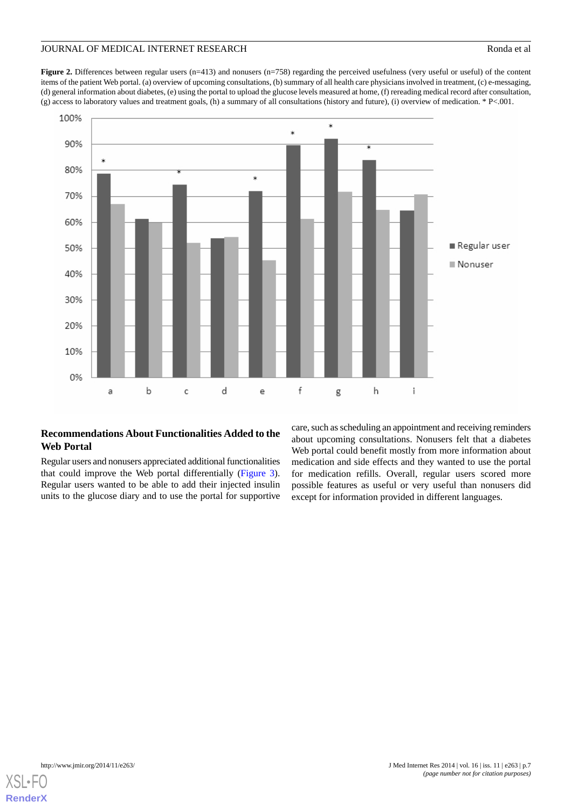## JOURNAL OF MEDICAL INTERNET RESEARCH RONDA ET ALL AND RONDA ET ALL AND RONDA ET ALL AND RONDA ET ALL AND RONDA ET ALL AND RONDA ET ALL AND RONDA ET ALL AND RONDA ET ALL AND RONDA ET ALL AND RONDA ET ALL AND RONDA ET ALL AN

**Figure 2.** Differences between regular users (n=413) and nonusers (n=758) regarding the perceived usefulness (very useful or useful) of the content items of the patient Web portal. (a) overview of upcoming consultations, (b) summary of all health care physicians involved in treatment, (c) e-messaging, (d) general information about diabetes, (e) using the portal to upload the glucose levels measured at home, (f) rereading medical record after consultation, (g) access to laboratory values and treatment goals, (h) a summary of all consultations (history and future), (i) overview of medication. \* P<.001.



## **Recommendations About Functionalities Added to the Web Portal**

Regular users and nonusers appreciated additional functionalities that could improve the Web portal differentially (Figure 3). Regular users wanted to be able to add their injected insulin units to the glucose diary and to use the portal for supportive

care, such as scheduling an appointment and receiving reminders about upcoming consultations. Nonusers felt that a diabetes Web portal could benefit mostly from more information about medication and side effects and they wanted to use the portal for medication refills. Overall, regular users scored more possible features as useful or very useful than nonusers did except for information provided in different languages.

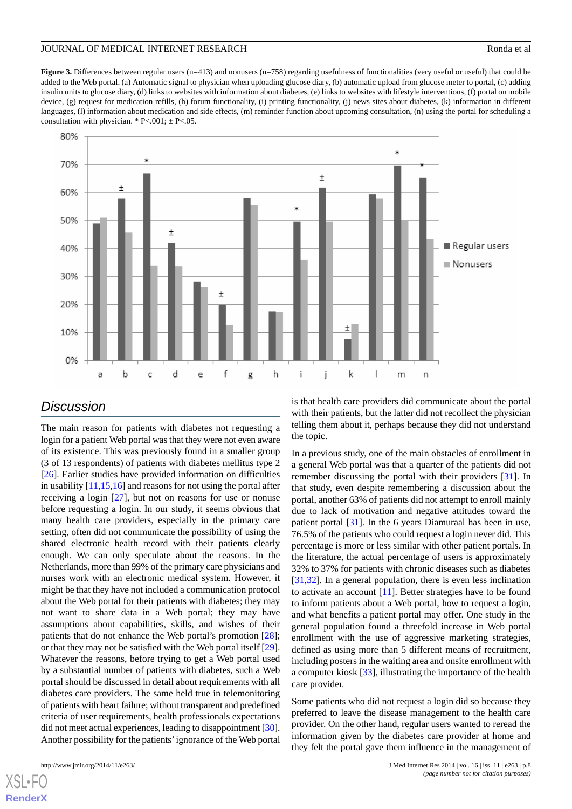**Figure 3.** Differences between regular users (n=413) and nonusers (n=758) regarding usefulness of functionalities (very useful or useful) that could be added to the Web portal. (a) Automatic signal to physician when uploading glucose diary, (b) automatic upload from glucose meter to portal, (c) adding insulin units to glucose diary, (d) links to websites with information about diabetes, (e) links to websites with lifestyle interventions, (f) portal on mobile device, (g) request for medication refills, (h) forum functionality, (i) printing functionality, (j) news sites about diabetes, (k) information in different languages, (l) information about medication and side effects, (m) reminder function about upcoming consultation, (n) using the portal for scheduling a consultation with physician. \* P<.001;  $\pm$  P<.05.



# *Discussion*

The main reason for patients with diabetes not requesting a login for a patient Web portal was that they were not even aware of its existence. This was previously found in a smaller group (3 of 13 respondents) of patients with diabetes mellitus type 2 [[26\]](#page-10-4). Earlier studies have provided information on difficulties in usability [\[11](#page-9-7),[15,](#page-9-11)[16](#page-9-12)] and reasons for not using the portal after receiving a login [[27\]](#page-10-5), but not on reasons for use or nonuse before requesting a login. In our study, it seems obvious that many health care providers, especially in the primary care setting, often did not communicate the possibility of using the shared electronic health record with their patients clearly enough. We can only speculate about the reasons. In the Netherlands, more than 99% of the primary care physicians and nurses work with an electronic medical system. However, it might be that they have not included a communication protocol about the Web portal for their patients with diabetes; they may not want to share data in a Web portal; they may have assumptions about capabilities, skills, and wishes of their patients that do not enhance the Web portal's promotion [[28\]](#page-10-6); or that they may not be satisfied with the Web portal itself [[29\]](#page-10-7). Whatever the reasons, before trying to get a Web portal used by a substantial number of patients with diabetes, such a Web portal should be discussed in detail about requirements with all diabetes care providers. The same held true in telemonitoring of patients with heart failure; without transparent and predefined criteria of user requirements, health professionals expectations did not meet actual experiences, leading to disappointment [\[30\]](#page-10-8). Another possibility for the patients'ignorance of the Web portal

[XSL](http://www.w3.org/Style/XSL)•FO **[RenderX](http://www.renderx.com/)**

is that health care providers did communicate about the portal with their patients, but the latter did not recollect the physician telling them about it, perhaps because they did not understand the topic.

In a previous study, one of the main obstacles of enrollment in a general Web portal was that a quarter of the patients did not remember discussing the portal with their providers [[31\]](#page-10-9). In that study, even despite remembering a discussion about the portal, another 63% of patients did not attempt to enroll mainly due to lack of motivation and negative attitudes toward the patient portal [[31\]](#page-10-9). In the 6 years Diamuraal has been in use, 76.5% of the patients who could request a login never did. This percentage is more or less similar with other patient portals. In the literature, the actual percentage of users is approximately 32% to 37% for patients with chronic diseases such as diabetes [[31,](#page-10-9)[32\]](#page-10-10). In a general population, there is even less inclination to activate an account [[11\]](#page-9-7). Better strategies have to be found to inform patients about a Web portal, how to request a login, and what benefits a patient portal may offer. One study in the general population found a threefold increase in Web portal enrollment with the use of aggressive marketing strategies, defined as using more than 5 different means of recruitment, including posters in the waiting area and onsite enrollment with a computer kiosk [[33\]](#page-10-11), illustrating the importance of the health care provider.

Some patients who did not request a login did so because they preferred to leave the disease management to the health care provider. On the other hand, regular users wanted to reread the information given by the diabetes care provider at home and they felt the portal gave them influence in the management of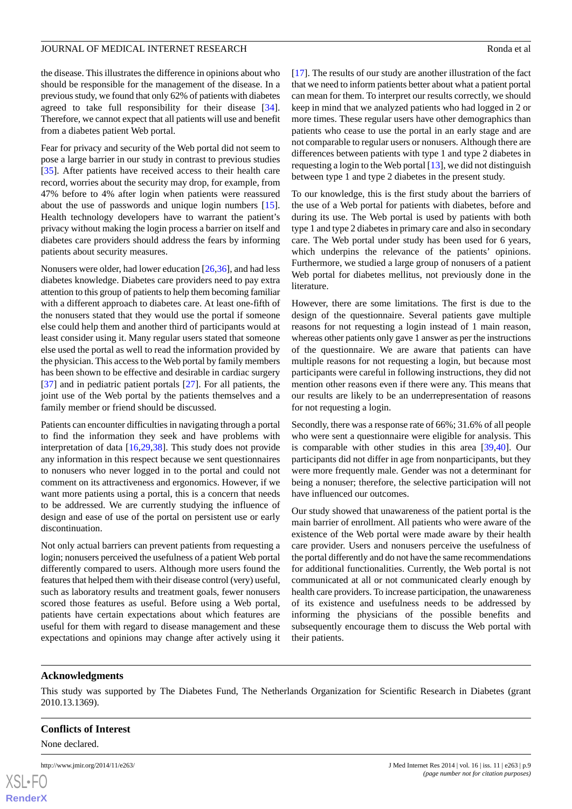the disease. This illustrates the difference in opinions about who should be responsible for the management of the disease. In a previous study, we found that only 62% of patients with diabetes agreed to take full responsibility for their disease [[34\]](#page-10-12). Therefore, we cannot expect that all patients will use and benefit from a diabetes patient Web portal.

Fear for privacy and security of the Web portal did not seem to pose a large barrier in our study in contrast to previous studies [[35\]](#page-10-13). After patients have received access to their health care record, worries about the security may drop, for example, from 47% before to 4% after login when patients were reassured about the use of passwords and unique login numbers [[15\]](#page-9-11). Health technology developers have to warrant the patient's privacy without making the login process a barrier on itself and diabetes care providers should address the fears by informing patients about security measures.

Nonusers were older, had lower education [[26,](#page-10-4)[36\]](#page-10-14), and had less diabetes knowledge. Diabetes care providers need to pay extra attention to this group of patients to help them becoming familiar with a different approach to diabetes care. At least one-fifth of the nonusers stated that they would use the portal if someone else could help them and another third of participants would at least consider using it. Many regular users stated that someone else used the portal as well to read the information provided by the physician. This access to the Web portal by family members has been shown to be effective and desirable in cardiac surgery [[37\]](#page-10-15) and in pediatric patient portals [\[27](#page-10-5)]. For all patients, the joint use of the Web portal by the patients themselves and a family member or friend should be discussed.

Patients can encounter difficulties in navigating through a portal to find the information they seek and have problems with interpretation of data [\[16](#page-9-12),[29,](#page-10-7)[38](#page-10-16)]. This study does not provide any information in this respect because we sent questionnaires to nonusers who never logged in to the portal and could not comment on its attractiveness and ergonomics. However, if we want more patients using a portal, this is a concern that needs to be addressed. We are currently studying the influence of design and ease of use of the portal on persistent use or early discontinuation.

Not only actual barriers can prevent patients from requesting a login; nonusers perceived the usefulness of a patient Web portal differently compared to users. Although more users found the features that helped them with their disease control (very) useful, such as laboratory results and treatment goals, fewer nonusers scored those features as useful. Before using a Web portal, patients have certain expectations about which features are useful for them with regard to disease management and these expectations and opinions may change after actively using it [[17\]](#page-9-13). The results of our study are another illustration of the fact that we need to inform patients better about what a patient portal can mean for them. To interpret our results correctly, we should keep in mind that we analyzed patients who had logged in 2 or more times. These regular users have other demographics than patients who cease to use the portal in an early stage and are not comparable to regular users or nonusers. Although there are differences between patients with type 1 and type 2 diabetes in requesting a login to the Web portal [\[13](#page-9-9)], we did not distinguish between type 1 and type 2 diabetes in the present study.

To our knowledge, this is the first study about the barriers of the use of a Web portal for patients with diabetes, before and during its use. The Web portal is used by patients with both type 1 and type 2 diabetes in primary care and also in secondary care. The Web portal under study has been used for 6 years, which underpins the relevance of the patients' opinions. Furthermore, we studied a large group of nonusers of a patient Web portal for diabetes mellitus, not previously done in the literature.

However, there are some limitations. The first is due to the design of the questionnaire. Several patients gave multiple reasons for not requesting a login instead of 1 main reason, whereas other patients only gave 1 answer as per the instructions of the questionnaire. We are aware that patients can have multiple reasons for not requesting a login, but because most participants were careful in following instructions, they did not mention other reasons even if there were any. This means that our results are likely to be an underrepresentation of reasons for not requesting a login.

Secondly, there was a response rate of 66%; 31.6% of all people who were sent a questionnaire were eligible for analysis. This is comparable with other studies in this area [\[39](#page-10-17)[,40](#page-10-18)]. Our participants did not differ in age from nonparticipants, but they were more frequently male. Gender was not a determinant for being a nonuser; therefore, the selective participation will not have influenced our outcomes.

Our study showed that unawareness of the patient portal is the main barrier of enrollment. All patients who were aware of the existence of the Web portal were made aware by their health care provider. Users and nonusers perceive the usefulness of the portal differently and do not have the same recommendations for additional functionalities. Currently, the Web portal is not communicated at all or not communicated clearly enough by health care providers. To increase participation, the unawareness of its existence and usefulness needs to be addressed by informing the physicians of the possible benefits and subsequently encourage them to discuss the Web portal with their patients.

# **Acknowledgments**

This study was supported by The Diabetes Fund, The Netherlands Organization for Scientific Research in Diabetes (grant 2010.13.1369).

# **Conflicts of Interest**

None declared.

```
XS • FO
RenderX
```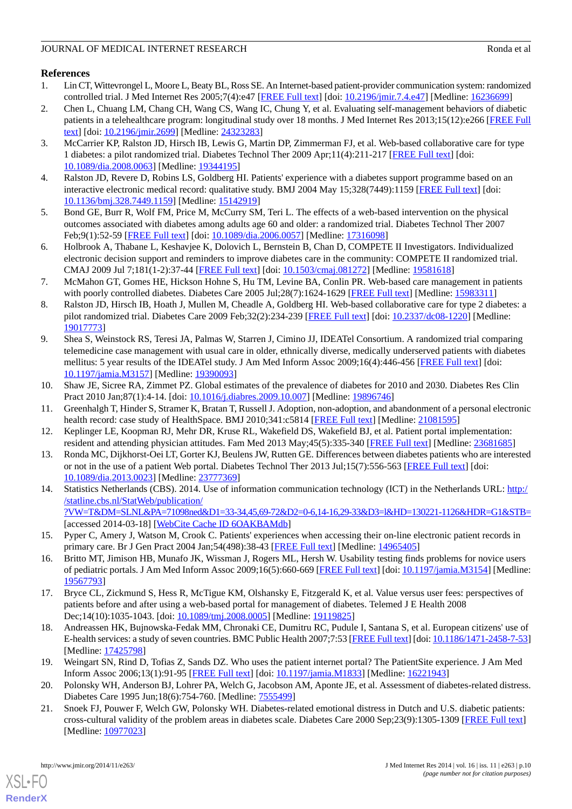# <span id="page-9-0"></span>**References**

- 1. Lin CT, Wittevrongel L, Moore L, Beaty BL, Ross SE. An Internet-based patient-provider communication system: randomized controlled trial. J Med Internet Res 2005;7(4):e47 [[FREE Full text\]](http://www.jmir.org/2005/4/e47/) [doi: [10.2196/jmir.7.4.e47](http://dx.doi.org/10.2196/jmir.7.4.e47)] [Medline: [16236699](http://www.ncbi.nlm.nih.gov/entrez/query.fcgi?cmd=Retrieve&db=PubMed&list_uids=16236699&dopt=Abstract)]
- <span id="page-9-1"></span>2. Chen L, Chuang LM, Chang CH, Wang CS, Wang IC, Chung Y, et al. Evaluating self-management behaviors of diabetic patients in a telehealthcare program: longitudinal study over 18 months. J Med Internet Res 2013;15(12):e266 [[FREE Full](http://www.jmir.org/2013/12/e266/) [text](http://www.jmir.org/2013/12/e266/)] [doi: [10.2196/jmir.2699](http://dx.doi.org/10.2196/jmir.2699)] [Medline: [24323283](http://www.ncbi.nlm.nih.gov/entrez/query.fcgi?cmd=Retrieve&db=PubMed&list_uids=24323283&dopt=Abstract)]
- <span id="page-9-2"></span>3. McCarrier KP, Ralston JD, Hirsch IB, Lewis G, Martin DP, Zimmerman FJ, et al. Web-based collaborative care for type 1 diabetes: a pilot randomized trial. Diabetes Technol Ther 2009 Apr;11(4):211-217 [\[FREE Full text\]](http://europepmc.org/abstract/MED/19344195) [doi: [10.1089/dia.2008.0063](http://dx.doi.org/10.1089/dia.2008.0063)] [Medline: [19344195\]](http://www.ncbi.nlm.nih.gov/entrez/query.fcgi?cmd=Retrieve&db=PubMed&list_uids=19344195&dopt=Abstract)
- <span id="page-9-4"></span><span id="page-9-3"></span>4. Ralston JD, Revere D, Robins LS, Goldberg HI. Patients' experience with a diabetes support programme based on an interactive electronic medical record: qualitative study. BMJ 2004 May 15:328(7449):1159 [\[FREE Full text\]](http://europepmc.org/abstract/MED/15142919) [doi: [10.1136/bmj.328.7449.1159\]](http://dx.doi.org/10.1136/bmj.328.7449.1159) [Medline: [15142919\]](http://www.ncbi.nlm.nih.gov/entrez/query.fcgi?cmd=Retrieve&db=PubMed&list_uids=15142919&dopt=Abstract)
- 5. Bond GE, Burr R, Wolf FM, Price M, McCurry SM, Teri L. The effects of a web-based intervention on the physical outcomes associated with diabetes among adults age 60 and older: a randomized trial. Diabetes Technol Ther 2007 Feb;9(1):52-59 [[FREE Full text](http://europepmc.org/abstract/MED/17316098)] [doi: [10.1089/dia.2006.0057](http://dx.doi.org/10.1089/dia.2006.0057)] [Medline: [17316098\]](http://www.ncbi.nlm.nih.gov/entrez/query.fcgi?cmd=Retrieve&db=PubMed&list_uids=17316098&dopt=Abstract)
- 6. Holbrook A, Thabane L, Keshavjee K, Dolovich L, Bernstein B, Chan D, COMPETE II Investigators. Individualized electronic decision support and reminders to improve diabetes care in the community: COMPETE II randomized trial. CMAJ 2009 Jul 7;181(1-2):37-44 [\[FREE Full text\]](http://www.cmaj.ca/cgi/pmidlookup?view=long&pmid=19581618) [doi: [10.1503/cmaj.081272\]](http://dx.doi.org/10.1503/cmaj.081272) [Medline: [19581618\]](http://www.ncbi.nlm.nih.gov/entrez/query.fcgi?cmd=Retrieve&db=PubMed&list_uids=19581618&dopt=Abstract)
- 7. McMahon GT, Gomes HE, Hickson Hohne S, Hu TM, Levine BA, Conlin PR. Web-based care management in patients with poorly controlled diabetes. Diabetes Care 2005 Jul;28(7):1624-1629 [[FREE Full text](http://europepmc.org/abstract/MED/15983311)] [Medline: [15983311\]](http://www.ncbi.nlm.nih.gov/entrez/query.fcgi?cmd=Retrieve&db=PubMed&list_uids=15983311&dopt=Abstract)
- <span id="page-9-5"></span>8. Ralston JD, Hirsch IB, Hoath J, Mullen M, Cheadle A, Goldberg HI. Web-based collaborative care for type 2 diabetes: a pilot randomized trial. Diabetes Care 2009 Feb;32(2):234-239 [[FREE Full text](http://europepmc.org/abstract/MED/19017773)] [doi: [10.2337/dc08-1220\]](http://dx.doi.org/10.2337/dc08-1220) [Medline: [19017773](http://www.ncbi.nlm.nih.gov/entrez/query.fcgi?cmd=Retrieve&db=PubMed&list_uids=19017773&dopt=Abstract)]
- <span id="page-9-6"></span>9. Shea S, Weinstock RS, Teresi JA, Palmas W, Starren J, Cimino JJ, IDEATel Consortium. A randomized trial comparing telemedicine case management with usual care in older, ethnically diverse, medically underserved patients with diabetes mellitus: 5 year results of the IDEATel study. J Am Med Inform Assoc 2009;16(4):446-456 [[FREE Full text](http://jamia.bmj.com/cgi/pmidlookup?view=long&pmid=19390093)] [doi: [10.1197/jamia.M3157](http://dx.doi.org/10.1197/jamia.M3157)] [Medline: [19390093](http://www.ncbi.nlm.nih.gov/entrez/query.fcgi?cmd=Retrieve&db=PubMed&list_uids=19390093&dopt=Abstract)]
- <span id="page-9-8"></span><span id="page-9-7"></span>10. Shaw JE, Sicree RA, Zimmet PZ. Global estimates of the prevalence of diabetes for 2010 and 2030. Diabetes Res Clin Pract 2010 Jan;87(1):4-14. [doi: [10.1016/j.diabres.2009.10.007](http://dx.doi.org/10.1016/j.diabres.2009.10.007)] [Medline: [19896746](http://www.ncbi.nlm.nih.gov/entrez/query.fcgi?cmd=Retrieve&db=PubMed&list_uids=19896746&dopt=Abstract)]
- <span id="page-9-9"></span>11. Greenhalgh T, Hinder S, Stramer K, Bratan T, Russell J. Adoption, non-adoption, and abandonment of a personal electronic health record: case study of HealthSpace. BMJ 2010;341:c5814 [\[FREE Full text\]](http://www.bmj.com/cgi/pmidlookup?view=long&pmid=21081595) [Medline: [21081595\]](http://www.ncbi.nlm.nih.gov/entrez/query.fcgi?cmd=Retrieve&db=PubMed&list_uids=21081595&dopt=Abstract)
- <span id="page-9-10"></span>12. Keplinger LE, Koopman RJ, Mehr DR, Kruse RL, Wakefield DS, Wakefield BJ, et al. Patient portal implementation: resident and attending physician attitudes. Fam Med 2013 May;45(5):335-340 [\[FREE Full text\]](http://www.stfm.org/fmhub/fm2013/May/Lynn335.pdf) [Medline: [23681685](http://www.ncbi.nlm.nih.gov/entrez/query.fcgi?cmd=Retrieve&db=PubMed&list_uids=23681685&dopt=Abstract)]
- 13. Ronda MC, Dijkhorst-Oei LT, Gorter KJ, Beulens JW, Rutten GE. Differences between diabetes patients who are interested or not in the use of a patient Web portal. Diabetes Technol Ther 2013 Jul;15(7):556-563 [[FREE Full text](http://europepmc.org/abstract/MED/23777369)] [doi: [10.1089/dia.2013.0023](http://dx.doi.org/10.1089/dia.2013.0023)] [Medline: [23777369\]](http://www.ncbi.nlm.nih.gov/entrez/query.fcgi?cmd=Retrieve&db=PubMed&list_uids=23777369&dopt=Abstract)
- <span id="page-9-12"></span><span id="page-9-11"></span>14. Statistics Netherlands (CBS). 2014. Use of information communication technology (ICT) in the Netherlands URL: [http:/](http://statline.cbs.nl/StatWeb/publication/?VW=T&DM=SLNL&PA=71098ned&D1=33-34,45,69-72&D2=0-6,14-16,29-33&D3=l&HD=130221-1126&HDR=G1&STB=) [/statline.cbs.nl/StatWeb/publication/](http://statline.cbs.nl/StatWeb/publication/?VW=T&DM=SLNL&PA=71098ned&D1=33-34,45,69-72&D2=0-6,14-16,29-33&D3=l&HD=130221-1126&HDR=G1&STB=) [?VW=T&DM=SLNL&PA=71098ned&D1=33-34,45,69-72&D2=0-6,14-16,29-33&D3=l&HD=130221-1126&HDR=G1&STB=](http://statline.cbs.nl/StatWeb/publication/?VW=T&DM=SLNL&PA=71098ned&D1=33-34,45,69-72&D2=0-6,14-16,29-33&D3=l&HD=130221-1126&HDR=G1&STB=) [accessed 2014-03-18] [\[WebCite Cache ID 6OAKBAMdb\]](http://www.webcitation.org/6OAKBAMdb)
- <span id="page-9-13"></span>15. Pyper C, Amery J, Watson M, Crook C. Patients' experiences when accessing their on-line electronic patient records in primary care. Br J Gen Pract 2004 Jan;54(498):38-43 [[FREE Full text](http://bjgp.org/cgi/pmidlookup?view=long&pmid=14965405)] [Medline: [14965405\]](http://www.ncbi.nlm.nih.gov/entrez/query.fcgi?cmd=Retrieve&db=PubMed&list_uids=14965405&dopt=Abstract)
- <span id="page-9-14"></span>16. Britto MT, Jimison HB, Munafo JK, Wissman J, Rogers ML, Hersh W. Usability testing finds problems for novice users of pediatric portals. J Am Med Inform Assoc 2009;16(5):660-669 [\[FREE Full text](http://jamia.bmj.com/cgi/pmidlookup?view=long&pmid=19567793)] [doi: [10.1197/jamia.M3154\]](http://dx.doi.org/10.1197/jamia.M3154) [Medline: [19567793](http://www.ncbi.nlm.nih.gov/entrez/query.fcgi?cmd=Retrieve&db=PubMed&list_uids=19567793&dopt=Abstract)]
- <span id="page-9-15"></span>17. Bryce CL, Zickmund S, Hess R, McTigue KM, Olshansky E, Fitzgerald K, et al. Value versus user fees: perspectives of patients before and after using a web-based portal for management of diabetes. Telemed J E Health 2008 Dec;14(10):1035-1043. [doi: [10.1089/tmj.2008.0005](http://dx.doi.org/10.1089/tmj.2008.0005)] [Medline: [19119825\]](http://www.ncbi.nlm.nih.gov/entrez/query.fcgi?cmd=Retrieve&db=PubMed&list_uids=19119825&dopt=Abstract)
- <span id="page-9-17"></span><span id="page-9-16"></span>18. Andreassen HK, Bujnowska-Fedak MM, Chronaki CE, Dumitru RC, Pudule I, Santana S, et al. European citizens' use of E-health services: a study of seven countries. BMC Public Health 2007;7:53 [\[FREE Full text](http://www.biomedcentral.com/1471-2458/7/53)] [doi: [10.1186/1471-2458-7-53\]](http://dx.doi.org/10.1186/1471-2458-7-53) [Medline: [17425798](http://www.ncbi.nlm.nih.gov/entrez/query.fcgi?cmd=Retrieve&db=PubMed&list_uids=17425798&dopt=Abstract)]
- 19. Weingart SN, Rind D, Tofias Z, Sands DZ. Who uses the patient internet portal? The PatientSite experience. J Am Med Inform Assoc 2006;13(1):91-95 [\[FREE Full text](http://jamia.bmj.com/cgi/pmidlookup?view=long&pmid=16221943)] [doi: [10.1197/jamia.M1833\]](http://dx.doi.org/10.1197/jamia.M1833) [Medline: [16221943](http://www.ncbi.nlm.nih.gov/entrez/query.fcgi?cmd=Retrieve&db=PubMed&list_uids=16221943&dopt=Abstract)]
- 20. Polonsky WH, Anderson BJ, Lohrer PA, Welch G, Jacobson AM, Aponte JE, et al. Assessment of diabetes-related distress. Diabetes Care 1995 Jun;18(6):754-760. [Medline: [7555499](http://www.ncbi.nlm.nih.gov/entrez/query.fcgi?cmd=Retrieve&db=PubMed&list_uids=7555499&dopt=Abstract)]
- 21. Snoek FJ, Pouwer F, Welch GW, Polonsky WH. Diabetes-related emotional distress in Dutch and U.S. diabetic patients: cross-cultural validity of the problem areas in diabetes scale. Diabetes Care 2000 Sep;23(9):1305-1309 [[FREE Full text](http://care.diabetesjournals.org/cgi/pmidlookup?view=long&pmid=10977023)] [Medline: [10977023](http://www.ncbi.nlm.nih.gov/entrez/query.fcgi?cmd=Retrieve&db=PubMed&list_uids=10977023&dopt=Abstract)]

[XSL](http://www.w3.org/Style/XSL)•FO **[RenderX](http://www.renderx.com/)**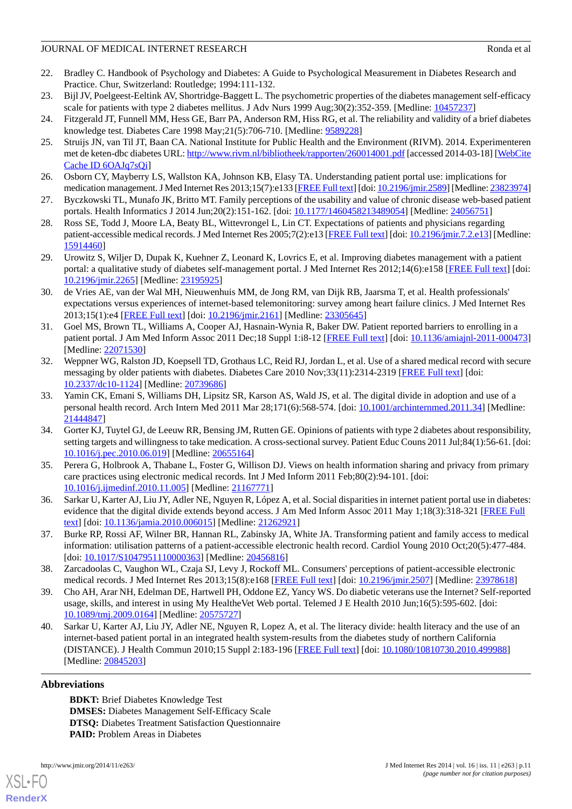#### JOURNAL OF MEDICAL INTERNET RESEARCH RONDA ET ALL AND RONDA ET ALL AND RONDA ET ALL AND RONDA ET ALL AND RONDA ET ALL AND RONDA ET ALL AND RONDA ET ALL AND RONDA ET ALL AND RONDA ET ALL AND RONDA ET ALL AND RONDA ET ALL AN

- <span id="page-10-0"></span>22. Bradley C. Handbook of Psychology and Diabetes: A Guide to Psychological Measurement in Diabetes Research and Practice. Chur, Switzerland: Routledge; 1994:111-132.
- <span id="page-10-2"></span><span id="page-10-1"></span>23. Bijl JV, Poelgeest-Eeltink AV, Shortridge-Baggett L. The psychometric properties of the diabetes management self-efficacy scale for patients with type 2 diabetes mellitus. J Adv Nurs 1999 Aug;30(2):352-359. [Medline: [10457237](http://www.ncbi.nlm.nih.gov/entrez/query.fcgi?cmd=Retrieve&db=PubMed&list_uids=10457237&dopt=Abstract)]
- <span id="page-10-3"></span>24. Fitzgerald JT, Funnell MM, Hess GE, Barr PA, Anderson RM, Hiss RG, et al. The reliability and validity of a brief diabetes knowledge test. Diabetes Care 1998 May;21(5):706-710. [Medline: [9589228\]](http://www.ncbi.nlm.nih.gov/entrez/query.fcgi?cmd=Retrieve&db=PubMed&list_uids=9589228&dopt=Abstract)
- 25. Struijs JN, van Til JT, Baan CA. National Institute for Public Health and the Environment (RIVM). 2014. Experimenteren met de keten-dbc diabetes URL:<http://www.rivm.nl/bibliotheek/rapporten/260014001.pdf> [accessed 2014-03-18] [\[WebCite](http://www.webcitation.org/6OAJq7sQi) [Cache ID 6OAJq7sQi\]](http://www.webcitation.org/6OAJq7sQi)
- <span id="page-10-5"></span><span id="page-10-4"></span>26. Osborn CY, Mayberry LS, Wallston KA, Johnson KB, Elasy TA. Understanding patient portal use: implications for medication management. J Med Internet Res 2013;15(7):e133 [\[FREE Full text\]](http://www.jmir.org/2013/7/e133/) [doi: [10.2196/jmir.2589](http://dx.doi.org/10.2196/jmir.2589)] [Medline: [23823974\]](http://www.ncbi.nlm.nih.gov/entrez/query.fcgi?cmd=Retrieve&db=PubMed&list_uids=23823974&dopt=Abstract)
- <span id="page-10-6"></span>27. Byczkowski TL, Munafo JK, Britto MT. Family perceptions of the usability and value of chronic disease web-based patient portals. Health Informatics J 2014 Jun;20(2):151-162. [doi: [10.1177/1460458213489054\]](http://dx.doi.org/10.1177/1460458213489054) [Medline: [24056751](http://www.ncbi.nlm.nih.gov/entrez/query.fcgi?cmd=Retrieve&db=PubMed&list_uids=24056751&dopt=Abstract)]
- <span id="page-10-7"></span>28. Ross SE, Todd J, Moore LA, Beaty BL, Wittevrongel L, Lin CT. Expectations of patients and physicians regarding patient-accessible medical records. J Med Internet Res 2005;7(2):e13 [[FREE Full text](http://www.jmir.org/2005/2/e13/)] [doi: [10.2196/jmir.7.2.e13\]](http://dx.doi.org/10.2196/jmir.7.2.e13) [Medline: [15914460](http://www.ncbi.nlm.nih.gov/entrez/query.fcgi?cmd=Retrieve&db=PubMed&list_uids=15914460&dopt=Abstract)]
- <span id="page-10-8"></span>29. Urowitz S, Wiljer D, Dupak K, Kuehner Z, Leonard K, Lovrics E, et al. Improving diabetes management with a patient portal: a qualitative study of diabetes self-management portal. J Med Internet Res 2012;14(6):e158 [\[FREE Full text\]](http://www.jmir.org/2012/6/e158/) [doi: [10.2196/jmir.2265](http://dx.doi.org/10.2196/jmir.2265)] [Medline: [23195925](http://www.ncbi.nlm.nih.gov/entrez/query.fcgi?cmd=Retrieve&db=PubMed&list_uids=23195925&dopt=Abstract)]
- <span id="page-10-9"></span>30. de Vries AE, van der Wal MH, Nieuwenhuis MM, de Jong RM, van Dijk RB, Jaarsma T, et al. Health professionals' expectations versus experiences of internet-based telemonitoring: survey among heart failure clinics. J Med Internet Res 2013;15(1):e4 [\[FREE Full text](http://www.jmir.org/2013/1/e4/)] [doi: [10.2196/jmir.2161](http://dx.doi.org/10.2196/jmir.2161)] [Medline: [23305645](http://www.ncbi.nlm.nih.gov/entrez/query.fcgi?cmd=Retrieve&db=PubMed&list_uids=23305645&dopt=Abstract)]
- <span id="page-10-10"></span>31. Goel MS, Brown TL, Williams A, Cooper AJ, Hasnain-Wynia R, Baker DW. Patient reported barriers to enrolling in a patient portal. J Am Med Inform Assoc 2011 Dec;18 Suppl 1:i8-12 [\[FREE Full text](http://jamia.bmj.com/cgi/pmidlookup?view=long&pmid=22071530)] [doi: [10.1136/amiajnl-2011-000473](http://dx.doi.org/10.1136/amiajnl-2011-000473)] [Medline: [22071530](http://www.ncbi.nlm.nih.gov/entrez/query.fcgi?cmd=Retrieve&db=PubMed&list_uids=22071530&dopt=Abstract)]
- <span id="page-10-11"></span>32. Weppner WG, Ralston JD, Koepsell TD, Grothaus LC, Reid RJ, Jordan L, et al. Use of a shared medical record with secure messaging by older patients with diabetes. Diabetes Care 2010 Nov;33(11):2314-2319 [\[FREE Full text\]](http://europepmc.org/abstract/MED/20739686) [doi: [10.2337/dc10-1124\]](http://dx.doi.org/10.2337/dc10-1124) [Medline: [20739686](http://www.ncbi.nlm.nih.gov/entrez/query.fcgi?cmd=Retrieve&db=PubMed&list_uids=20739686&dopt=Abstract)]
- <span id="page-10-12"></span>33. Yamin CK, Emani S, Williams DH, Lipsitz SR, Karson AS, Wald JS, et al. The digital divide in adoption and use of a personal health record. Arch Intern Med 2011 Mar 28;171(6):568-574. [doi: [10.1001/archinternmed.2011.34\]](http://dx.doi.org/10.1001/archinternmed.2011.34) [Medline: [21444847](http://www.ncbi.nlm.nih.gov/entrez/query.fcgi?cmd=Retrieve&db=PubMed&list_uids=21444847&dopt=Abstract)]
- <span id="page-10-13"></span>34. Gorter KJ, Tuytel GJ, de Leeuw RR, Bensing JM, Rutten GE. Opinions of patients with type 2 diabetes about responsibility, setting targets and willingness to take medication. A cross-sectional survey. Patient Educ Couns 2011 Jul;84(1):56-61. [doi: [10.1016/j.pec.2010.06.019\]](http://dx.doi.org/10.1016/j.pec.2010.06.019) [Medline: [20655164](http://www.ncbi.nlm.nih.gov/entrez/query.fcgi?cmd=Retrieve&db=PubMed&list_uids=20655164&dopt=Abstract)]
- <span id="page-10-15"></span><span id="page-10-14"></span>35. Perera G, Holbrook A, Thabane L, Foster G, Willison DJ. Views on health information sharing and privacy from primary care practices using electronic medical records. Int J Med Inform 2011 Feb;80(2):94-101. [doi: [10.1016/j.ijmedinf.2010.11.005\]](http://dx.doi.org/10.1016/j.ijmedinf.2010.11.005) [Medline: [21167771](http://www.ncbi.nlm.nih.gov/entrez/query.fcgi?cmd=Retrieve&db=PubMed&list_uids=21167771&dopt=Abstract)]
- <span id="page-10-16"></span>36. Sarkar U, Karter AJ, Liu JY, Adler NE, Nguyen R, López A, et al. Social disparities in internet patient portal use in diabetes: evidence that the digital divide extends beyond access. J Am Med Inform Assoc 2011 May 1;18(3):318-321 [[FREE Full](http://jamia.bmj.com/cgi/pmidlookup?view=long&pmid=21262921) [text](http://jamia.bmj.com/cgi/pmidlookup?view=long&pmid=21262921)] [doi: [10.1136/jamia.2010.006015](http://dx.doi.org/10.1136/jamia.2010.006015)] [Medline: [21262921\]](http://www.ncbi.nlm.nih.gov/entrez/query.fcgi?cmd=Retrieve&db=PubMed&list_uids=21262921&dopt=Abstract)
- <span id="page-10-17"></span>37. Burke RP, Rossi AF, Wilner BR, Hannan RL, Zabinsky JA, White JA. Transforming patient and family access to medical information: utilisation patterns of a patient-accessible electronic health record. Cardiol Young 2010 Oct;20(5):477-484. [doi: [10.1017/S1047951110000363\]](http://dx.doi.org/10.1017/S1047951110000363) [Medline: [20456816](http://www.ncbi.nlm.nih.gov/entrez/query.fcgi?cmd=Retrieve&db=PubMed&list_uids=20456816&dopt=Abstract)]
- <span id="page-10-18"></span>38. Zarcadoolas C, Vaughon WL, Czaja SJ, Levy J, Rockoff ML. Consumers' perceptions of patient-accessible electronic medical records. J Med Internet Res 2013;15(8):e168 [[FREE Full text](http://www.jmir.org/2013/8/e168/)] [doi: [10.2196/jmir.2507\]](http://dx.doi.org/10.2196/jmir.2507) [Medline: [23978618](http://www.ncbi.nlm.nih.gov/entrez/query.fcgi?cmd=Retrieve&db=PubMed&list_uids=23978618&dopt=Abstract)]
- 39. Cho AH, Arar NH, Edelman DE, Hartwell PH, Oddone EZ, Yancy WS. Do diabetic veterans use the Internet? Self-reported usage, skills, and interest in using My HealtheVet Web portal. Telemed J E Health 2010 Jun;16(5):595-602. [doi: [10.1089/tmj.2009.0164](http://dx.doi.org/10.1089/tmj.2009.0164)] [Medline: [20575727\]](http://www.ncbi.nlm.nih.gov/entrez/query.fcgi?cmd=Retrieve&db=PubMed&list_uids=20575727&dopt=Abstract)
- 40. Sarkar U, Karter AJ, Liu JY, Adler NE, Nguyen R, Lopez A, et al. The literacy divide: health literacy and the use of an internet-based patient portal in an integrated health system-results from the diabetes study of northern California (DISTANCE). J Health Commun 2010;15 Suppl 2:183-196 [\[FREE Full text](http://europepmc.org/abstract/MED/20845203)] [doi: [10.1080/10810730.2010.499988\]](http://dx.doi.org/10.1080/10810730.2010.499988) [Medline: [20845203](http://www.ncbi.nlm.nih.gov/entrez/query.fcgi?cmd=Retrieve&db=PubMed&list_uids=20845203&dopt=Abstract)]

# **Abbreviations**

[XSL](http://www.w3.org/Style/XSL)•FO **[RenderX](http://www.renderx.com/)**

**BDKT:** Brief Diabetes Knowledge Test **DMSES:** Diabetes Management Self-Efficacy Scale **DTSQ:** Diabetes Treatment Satisfaction Questionnaire **PAID:** Problem Areas in Diabetes